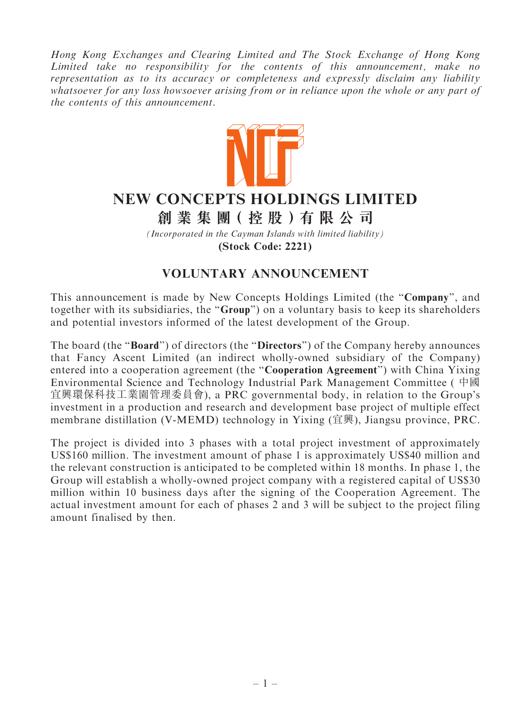Hong Kong Exchanges and Clearing Limited and The Stock Exchange of Hong Kong Limited take no responsibility for the contents of this announcement, make no representation as to its accuracy or completeness and expressly disclaim any liability whatsoever for any loss howsoever arising from or in reliance upon the whole or any part of the contents of this announcement.



## **NEW CONCEPTS HOLDINGS LIMITED**

## **創 業 集 團( 控 股 )有 限 公 司**

*(Incorporated in the Cayman Islands with limited liability)* **(Stock Code: 2221)**

## VOLUNTARY ANNOUNCEMENT

This announcement is made by New Concepts Holdings Limited (the "Company", and together with its subsidiaries, the "Group") on a voluntary basis to keep its shareholders and potential investors informed of the latest development of the Group.

The board (the "**Board**") of directors (the "**Directors**") of the Company hereby announces that Fancy Ascent Limited (an indirect wholly-owned subsidiary of the Company) entered into a cooperation agreement (the ''Cooperation Agreement'') with China Yixing Environmental Science and Technology Industrial Park Management Committee ( 中國 宜興環保科技工業園管理委員會), a PRC governmental body, in relation to the Group's investment in a production and research and development base project of multiple effect membrane distillation (V-MEMD) technology in Yixing (宜興), Jiangsu province, PRC.

The project is divided into 3 phases with a total project investment of approximately US\$160 million. The investment amount of phase 1 is approximately US\$40 million and the relevant construction is anticipated to be completed within 18 months. In phase 1, the Group will establish a wholly-owned project company with a registered capital of US\$30 million within 10 business days after the signing of the Cooperation Agreement. The actual investment amount for each of phases 2 and 3 will be subject to the project filing amount finalised by then.